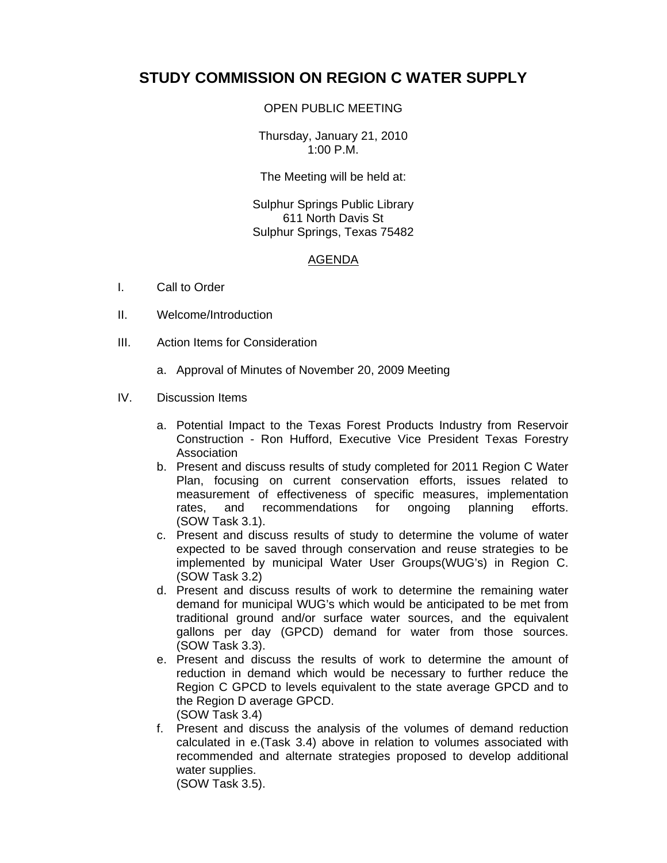## **STUDY COMMISSION ON REGION C WATER SUPPLY**

## OPEN PUBLIC MEETING

Thursday, January 21, 2010 1:00 P.M.

The Meeting will be held at:

Sulphur Springs Public Library 611 North Davis St Sulphur Springs, Texas 75482

## AGENDA

- I. Call to Order
- II. Welcome/Introduction
- III. Action Items for Consideration
	- a. Approval of Minutes of November 20, 2009 Meeting

## IV. Discussion Items

- a. Potential Impact to the Texas Forest Products Industry from Reservoir Construction - Ron Hufford, Executive Vice President Texas Forestry Association
- b. Present and discuss results of study completed for 2011 Region C Water Plan, focusing on current conservation efforts, issues related to measurement of effectiveness of specific measures, implementation rates, and recommendations for ongoing planning efforts. (SOW Task 3.1).
- c. Present and discuss results of study to determine the volume of water expected to be saved through conservation and reuse strategies to be implemented by municipal Water User Groups(WUG's) in Region C. (SOW Task 3.2)
- d. Present and discuss results of work to determine the remaining water demand for municipal WUG's which would be anticipated to be met from traditional ground and/or surface water sources, and the equivalent gallons per day (GPCD) demand for water from those sources. (SOW Task 3.3).
- e. Present and discuss the results of work to determine the amount of reduction in demand which would be necessary to further reduce the Region C GPCD to levels equivalent to the state average GPCD and to the Region D average GPCD. (SOW Task 3.4)
- f. Present and discuss the analysis of the volumes of demand reduction calculated in e.(Task 3.4) above in relation to volumes associated with recommended and alternate strategies proposed to develop additional water supplies. (SOW Task 3.5).